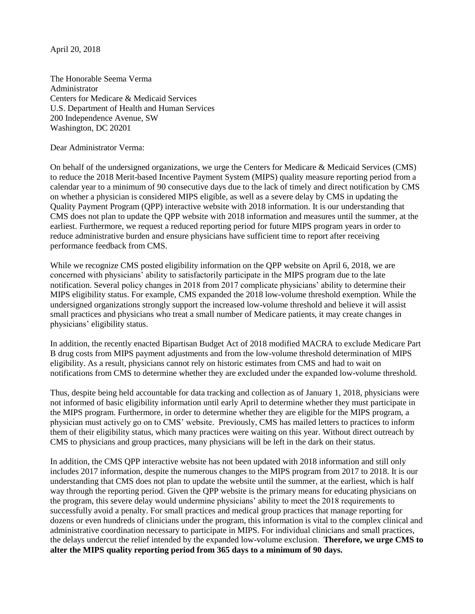April 20, 2018

The Honorable Seema Verma Administrator Centers for Medicare & Medicaid Services U.S. Department of Health and Human Services 200 Independence Avenue, SW Washington, DC 20201

Dear Administrator Verma:

On behalf of the undersigned organizations, we urge the Centers for Medicare & Medicaid Services (CMS) to reduce the 2018 Merit-based Incentive Payment System (MIPS) quality measure reporting period from a calendar year to a minimum of 90 consecutive days due to the lack of timely and direct notification by CMS on whether a physician is considered MIPS eligible, as well as a severe delay by CMS in updating the Quality Payment Program (QPP) interactive website with 2018 information. It is our understanding that CMS does not plan to update the QPP website with 2018 information and measures until the summer, at the earliest. Furthermore, we request a reduced reporting period for future MIPS program years in order to reduce administrative burden and ensure physicians have sufficient time to report after receiving performance feedback from CMS.

While we recognize CMS posted eligibility information on the QPP website on April 6, 2018, we are concerned with physicians' ability to satisfactorily participate in the MIPS program due to the late notification. Several policy changes in 2018 from 2017 complicate physicians' ability to determine their MIPS eligibility status. For example, CMS expanded the 2018 low-volume threshold exemption. While the undersigned organizations strongly support the increased low-volume threshold and believe it will assist small practices and physicians who treat a small number of Medicare patients, it may create changes in physicians' eligibility status.

In addition, the recently enacted Bipartisan Budget Act of 2018 modified MACRA to exclude Medicare Part B drug costs from MIPS payment adjustments and from the low-volume threshold determination of MIPS eligibility. As a result, physicians cannot rely on historic estimates from CMS and had to wait on notifications from CMS to determine whether they are excluded under the expanded low-volume threshold.

Thus, despite being held accountable for data tracking and collection as of January 1, 2018, physicians were not informed of basic eligibility information until early April to determine whether they must participate in the MIPS program. Furthermore, in order to determine whether they are eligible for the MIPS program, a physician must actively go on to CMS' website. Previously, CMS has mailed letters to practices to inform them of their eligibility status, which many practices were waiting on this year. Without direct outreach by CMS to physicians and group practices, many physicians will be left in the dark on their status.

In addition, the CMS QPP interactive website has not been updated with 2018 information and still only includes 2017 information, despite the numerous changes to the MIPS program from 2017 to 2018. It is our understanding that CMS does not plan to update the website until the summer, at the earliest, which is half way through the reporting period. Given the QPP website is the primary means for educating physicians on the program, this severe delay would undermine physicians' ability to meet the 2018 requirements to successfully avoid a penalty. For small practices and medical group practices that manage reporting for dozens or even hundreds of clinicians under the program, this information is vital to the complex clinical and administrative coordination necessary to participate in MIPS. For individual clinicians and small practices, the delays undercut the relief intended by the expanded low-volume exclusion. **Therefore, we urge CMS to alter the MIPS quality reporting period from 365 days to a minimum of 90 days.**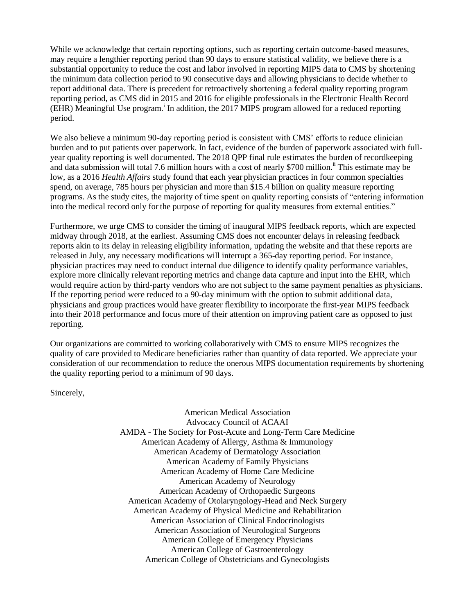While we acknowledge that certain reporting options, such as reporting certain outcome-based measures, may require a lengthier reporting period than 90 days to ensure statistical validity, we believe there is a substantial opportunity to reduce the cost and labor involved in reporting MIPS data to CMS by shortening the minimum data collection period to 90 consecutive days and allowing physicians to decide whether to report additional data. There is precedent for retroactively shortening a federal quality reporting program reporting period, as CMS did in 2015 and 2016 for eligible professionals in the Electronic Health Record (EHR) Meaningful Use program.<sup>i</sup> In addition, the 2017 MIPS program allowed for a reduced reporting period.

We also believe a minimum 90-day reporting period is consistent with CMS' efforts to reduce clinician burden and to put patients over paperwork. In fact, evidence of the burden of paperwork associated with fullyear quality reporting is well documented. The 2018 QPP final rule estimates the burden of recordkeeping and data submission will total 7.6 million hours with a cost of nearly \$700 million.<sup>ii</sup> This estimate may be low, as a 2016 *Health Affairs* study found that each year physician practices in four common specialties spend, on average, 785 hours per physician and more than \$15.4 billion on quality measure reporting programs. As the study cites, the majority of time spent on quality reporting consists of "entering information into the medical record only for the purpose of reporting for quality measures from external entities."

Furthermore, we urge CMS to consider the timing of inaugural MIPS feedback reports, which are expected midway through 2018, at the earliest. Assuming CMS does not encounter delays in releasing feedback reports akin to its delay in releasing eligibility information, updating the website and that these reports are released in July, any necessary modifications will interrupt a 365-day reporting period. For instance, physician practices may need to conduct internal due diligence to identify quality performance variables, explore more clinically relevant reporting metrics and change data capture and input into the EHR, which would require action by third-party vendors who are not subject to the same payment penalties as physicians. If the reporting period were reduced to a 90-day minimum with the option to submit additional data, physicians and group practices would have greater flexibility to incorporate the first-year MIPS feedback into their 2018 performance and focus more of their attention on improving patient care as opposed to just reporting.

Our organizations are committed to working collaboratively with CMS to ensure MIPS recognizes the quality of care provided to Medicare beneficiaries rather than quantity of data reported. We appreciate your consideration of our recommendation to reduce the onerous MIPS documentation requirements by shortening the quality reporting period to a minimum of 90 days.

Sincerely,

American Medical Association Advocacy Council of ACAAI AMDA - The Society for Post-Acute and Long-Term Care Medicine American Academy of Allergy, Asthma & Immunology American Academy of Dermatology Association American Academy of Family Physicians American Academy of Home Care Medicine American Academy of Neurology American Academy of Orthopaedic Surgeons American Academy of Otolaryngology-Head and Neck Surgery American Academy of Physical Medicine and Rehabilitation American Association of Clinical Endocrinologists American Association of Neurological Surgeons American College of Emergency Physicians American College of Gastroenterology American College of Obstetricians and Gynecologists